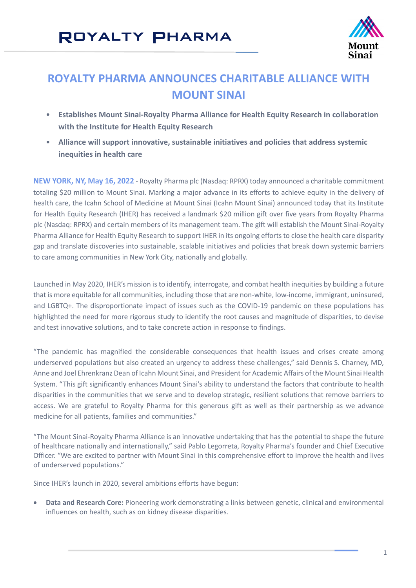# ROYALTY PHARMA



### **ROYALTY PHARMA ANNOUNCES CHARITABLE ALLIANCE WITH MOUNT SINAI**

- **Establishes Mount Sinai-Royalty Pharma Alliance for Health Equity Research in collaboration with the Institute for Health Equity Research**
- **Alliance will support innovative, sustainable initiatives and policies that address systemic inequities in health care**

**NEW YORK, NY, May 16, 2022** - Royalty Pharma plc (Nasdaq: RPRX) today announced a charitable commitment totaling \$20 million to Mount Sinai. Marking a major advance in its efforts to achieve equity in the delivery of health care, the Icahn School of Medicine at Mount Sinai (Icahn Mount Sinai) announced today that its Institute for Health Equity Research (IHER) has received a landmark \$20 million gift over five years from Royalty Pharma plc (Nasdaq: RPRX) and certain members of its management team. The gift will establish the Mount Sinai-Royalty Pharma Alliance for Health Equity Research to support IHER in its ongoing efforts to close the health care disparity gap and translate discoveries into sustainable, scalable initiatives and policies that break down systemic barriers to care among communities in New York City, nationally and globally.

Launched in May 2020, IHER's mission is to identify, interrogate, and combat health inequities by building a future that is more equitable for all communities, including those that are non-white, low-income, immigrant, uninsured, and LGBTQ+. The disproportionate impact of issues such as the COVID-19 pandemic on these populations has highlighted the need for more rigorous study to identify the root causes and magnitude of disparities, to devise and test innovative solutions, and to take concrete action in response to findings.

"The pandemic has magnified the considerable consequences that health issues and crises create among underserved populations but also created an urgency to address these challenges," said Dennis S. Charney, MD, Anne and Joel Ehrenkranz Dean of Icahn Mount Sinai, and President for Academic Affairs of the Mount Sinai Health System. "This gift significantly enhances Mount Sinai's ability to understand the factors that contribute to health disparities in the communities that we serve and to develop strategic, resilient solutions that remove barriers to access. We are grateful to Royalty Pharma for this generous gift as well as their partnership as we advance medicine for all patients, families and communities."

"The Mount Sinai-Royalty Pharma Alliance is an innovative undertaking that has the potential to shape the future of healthcare nationally and internationally," said Pablo Legorreta, Royalty Pharma's founder and Chief Executive Officer. "We are excited to partner with Mount Sinai in this comprehensive effort to improve the health and lives of underserved populations."

Since IHER's launch in 2020, several ambitions efforts have begun:

• **Data and Research Core:** Pioneering work demonstrating a links between genetic, clinical and environmental influences on health, such as on kidney disease disparities.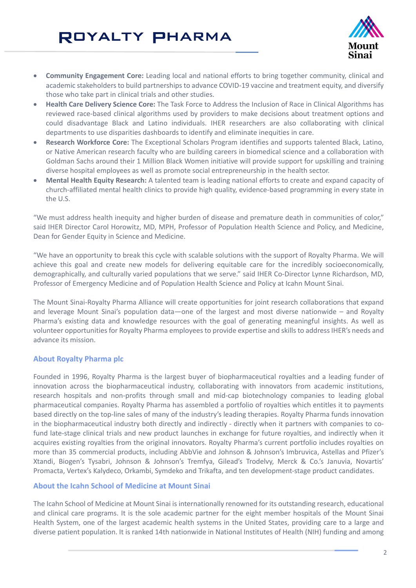## ROYALTY PHARMA



- **Community Engagement Core:** Leading local and national efforts to bring together community, clinical and academic stakeholders to build partnerships to advance COVID-19 vaccine and treatment equity, and diversify those who take part in clinical trials and other studies.
- **Health Care Delivery Science Core:** The Task Force to Address the Inclusion of Race in Clinical Algorithms has reviewed race-based clinical algorithms used by providers to make decisions about treatment options and could disadvantage Black and Latino individuals. IHER researchers are also collaborating with clinical departments to use disparities dashboards to identify and eliminate inequities in care.
- **Research Workforce Core:** The Exceptional Scholars Program identifies and supports talented Black, Latino, or Native American research faculty who are building careers in biomedical science and a collaboration with Goldman Sachs around their 1 Million Black Women initiative will provide support for upskilling and training diverse hospital employees as well as promote social entrepreneurship in the health sector.
- **Mental Health Equity Research:** A talented team is leading national efforts to create and expand capacity of church-affiliated mental health clinics to provide high quality, evidence-based programming in every state in the U.S.

"We must address health inequity and higher burden of disease and premature death in communities of color," said IHER Director Carol Horowitz, MD, MPH, Professor of Population Health Science and Policy, and Medicine, Dean for Gender Equity in Science and Medicine.

"We have an opportunity to break this cycle with scalable solutions with the support of Royalty Pharma. We will achieve this goal and create new models for delivering equitable care for the incredibly socioeconomically, demographically, and culturally varied populations that we serve." said IHER Co-Director Lynne Richardson, MD, Professor of Emergency Medicine and of Population Health Science and Policy at Icahn Mount Sinai.

The Mount Sinai-Royalty Pharma Alliance will create opportunities for joint research collaborations that expand and leverage Mount Sinai's population data—one of the largest and most diverse nationwide – and Royalty Pharma's existing data and knowledge resources with the goal of generating meaningful insights. As well as volunteer opportunities for Royalty Pharma employees to provide expertise and skills to address IHER's needs and advance its mission.

#### **About Royalty Pharma plc**

Founded in 1996, Royalty Pharma is the largest buyer of biopharmaceutical royalties and a leading funder of innovation across the biopharmaceutical industry, collaborating with innovators from academic institutions, research hospitals and non-profits through small and mid-cap biotechnology companies to leading global pharmaceutical companies. Royalty Pharma has assembled a portfolio of royalties which entitles it to payments based directly on the top-line sales of many of the industry's leading therapies. Royalty Pharma funds innovation in the biopharmaceutical industry both directly and indirectly - directly when it partners with companies to cofund late-stage clinical trials and new product launches in exchange for future royalties, and indirectly when it acquires existing royalties from the original innovators. Royalty Pharma's current portfolio includes royalties on more than 35 commercial products, including AbbVie and Johnson & Johnson's Imbruvica, Astellas and Pfizer's Xtandi, Biogen's Tysabri, Johnson & Johnson's Tremfya, Gilead's Trodelvy, Merck & Co.'s Januvia, Novartis' Promacta, Vertex's Kalydeco, Orkambi, Symdeko and Trikafta, and ten development-stage product candidates.

#### **About the Icahn School of Medicine at Mount Sinai**

The Icahn School of Medicine at Mount Sinai is internationally renowned for its outstanding research, educational and clinical care programs. It is the sole academic partner for the eight member hospitals of the Mount Sinai Health System, one of the largest academic health systems in the United States, providing care to a large and diverse patient population. It is ranked 14th nationwide in National Institutes of Health (NIH) funding and among